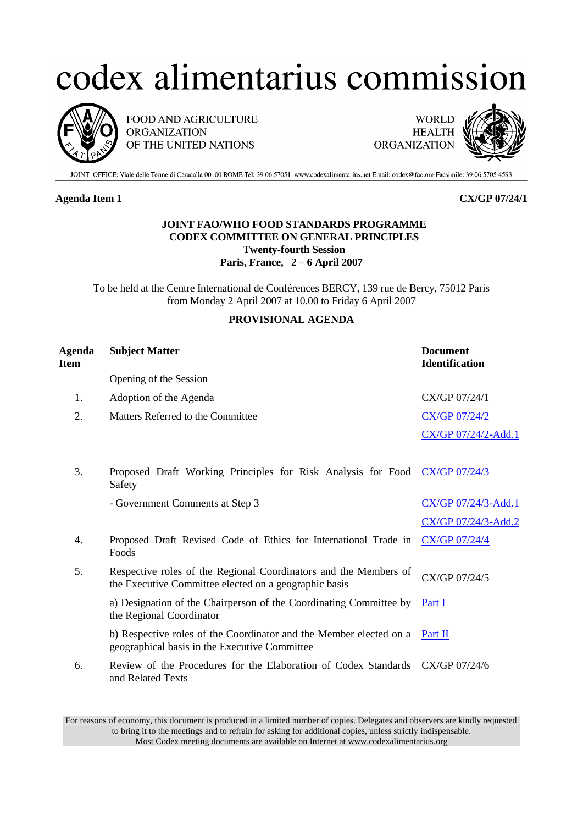## codex alimentarius commission



FOOD AND AGRICULTURE **ORGANIZATION** OF THE UNITED NATIONS



JOINT OFFICE: Viale delle Terme di Caracalla 00100 ROME Tel: 39 06 57051 www.codexalimentarius.net Email: codex@fao.org Facsimile: 39 06 5705 4593

## **Agenda Item 1 CX/GP 07/24/1**

## **JOINT FAO/WHO FOOD STANDARDS PROGRAMME CODEX COMMITTEE ON GENERAL PRINCIPLES Twenty-fourth Session Paris, France, 2 – 6 April 2007**

To be held at the Centre International de Conférences BERCY, 139 rue de Bercy, 75012 Paris from Monday 2 April 2007 at 10.00 to Friday 6 April 2007

## **PROVISIONAL AGENDA**

| <b>Subject Matter</b><br>Agenda<br>Item |                                                                                                                           | <b>Document</b><br><b>Identification</b> |
|-----------------------------------------|---------------------------------------------------------------------------------------------------------------------------|------------------------------------------|
| Opening of the Session                  |                                                                                                                           |                                          |
| 1.<br>Adoption of the Agenda            |                                                                                                                           | CX/GP 07/24/1                            |
| Matters Referred to the Committee<br>2. |                                                                                                                           | <b>CX/GP 07/24/2</b>                     |
|                                         |                                                                                                                           | CX/GP 07/24/2-Add.1                      |
| 3.<br>Safety                            | Proposed Draft Working Principles for Risk Analysis for Food                                                              | CX/GP 07/24/3                            |
| - Government Comments at Step 3         |                                                                                                                           | CX/GP 07/24/3-Add.1                      |
|                                         |                                                                                                                           | CX/GP 07/24/3-Add.2                      |
| 4.<br>Foods                             | Proposed Draft Revised Code of Ethics for International Trade in                                                          | <b>CX/GP 07/24/4</b>                     |
| 5.                                      | Respective roles of the Regional Coordinators and the Members of<br>the Executive Committee elected on a geographic basis | CX/GP 07/24/5                            |
| the Regional Coordinator                | a) Designation of the Chairperson of the Coordinating Committee by                                                        | Part I                                   |
|                                         | b) Respective roles of the Coordinator and the Member elected on a<br>geographical basis in the Executive Committee       | Part II                                  |
| 6.<br>and Related Texts                 | Review of the Procedures for the Elaboration of Codex Standards CX/GP 07/24/6                                             |                                          |

For reasons of economy, this document is produced in a limited number of copies. Delegates and observers are kindly requested to bring it to the meetings and to refrain for asking for additional copies, unless strictly indispensable. Most Codex meeting documents are available on Internet at www.codexalimentarius.org